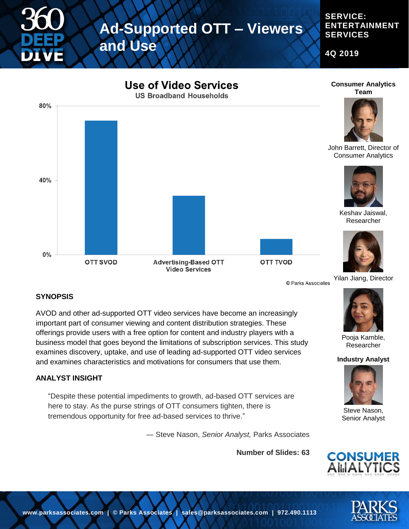## **Ad-Supported OTT – Viewers**

**and Use**

**4Q 2019**

**SERVICE:** 

**SERVICES**

**ENTERTAINMENT** 



#### **SYNOPSIS**

AVOD and other ad-supported OTT video services have become an increasingly important part of consumer viewing and content distribution strategies. These offerings provide users with a free option for content and industry players with a business model that goes beyond the limitations of subscription services. This study examines discovery, uptake, and use of leading ad-supported OTT video services and examines characteristics and motivations for consumers that use them.

#### **ANALYST INSIGHT**

"Despite these potential impediments to growth, ad-based OTT services are here to stay. As the purse strings of OTT consumers tighten, there is tremendous opportunity for free ad-based services to thrive."

― Steve Nason, *Senior Analyst,* Parks Associates

**Number of Slides: 63**



#### Pooja Kamble, Researcher

**Industry Analyst**



Steve Nason, Senior Analyst



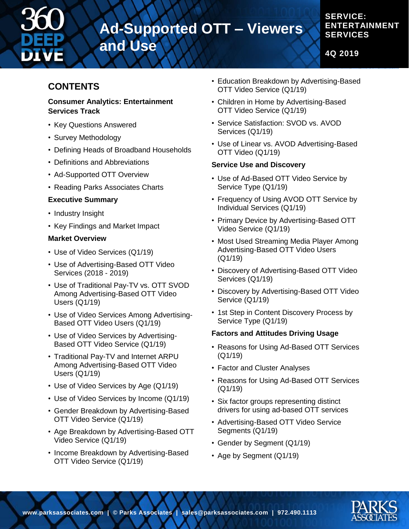

# **Ad-Supported OTT – Viewers**

**and Use**

#### **SERVICE: ENTERTAINMENT SERVICES**

**4Q 2019**

### **CONTENTS**

#### **Consumer Analytics: Entertainment Services Track**

- Key Questions Answered
- Survey Methodology
- Defining Heads of Broadband Households
- Definitions and Abbreviations
- Ad-Supported OTT Overview
- Reading Parks Associates Charts

#### **Executive Summary**

- Industry Insight
- Key Findings and Market Impact

#### **Market Overview**

- Use of Video Services (Q1/19)
- Use of Advertising-Based OTT Video Services (2018 - 2019)
- Use of Traditional Pay-TV vs. OTT SVOD Among Advertising-Based OTT Video Users (Q1/19)
- Use of Video Services Among Advertising-Based OTT Video Users (Q1/19)
- Use of Video Services by Advertising-Based OTT Video Service (Q1/19)
- Traditional Pay-TV and Internet ARPU Among Advertising-Based OTT Video Users (Q1/19)
- Use of Video Services by Age (Q1/19)
- Use of Video Services by Income (Q1/19)
- Gender Breakdown by Advertising-Based OTT Video Service (Q1/19)
- Age Breakdown by Advertising-Based OTT Video Service (Q1/19)
- Income Breakdown by Advertising-Based OTT Video Service (Q1/19)
- Education Breakdown by Advertising-Based OTT Video Service (Q1/19)
- Children in Home by Advertising-Based OTT Video Service (Q1/19)
- Service Satisfaction: SVOD vs. AVOD Services (Q1/19)
- Use of Linear vs. AVOD Advertising-Based OTT Video (Q1/19)

#### **Service Use and Discovery**

- Use of Ad-Based OTT Video Service by Service Type (Q1/19)
- Frequency of Using AVOD OTT Service by Individual Services (Q1/19)
- Primary Device by Advertising-Based OTT Video Service (Q1/19)
- Most Used Streaming Media Player Among Advertising-Based OTT Video Users (Q1/19)
- Discovery of Advertising-Based OTT Video Services (Q1/19)
- Discovery by Advertising-Based OTT Video Service (Q1/19)
- 1st Step in Content Discovery Process by Service Type (Q1/19)

#### **Factors and Attitudes Driving Usage**

- Reasons for Using Ad-Based OTT Services (Q1/19)
- Factor and Cluster Analyses
- Reasons for Using Ad-Based OTT Services (Q1/19)
- Six factor groups representing distinct drivers for using ad-based OTT services
- Advertising-Based OTT Video Service Segments (Q1/19)
- Gender by Segment (Q1/19)
- Age by Segment (Q1/19)

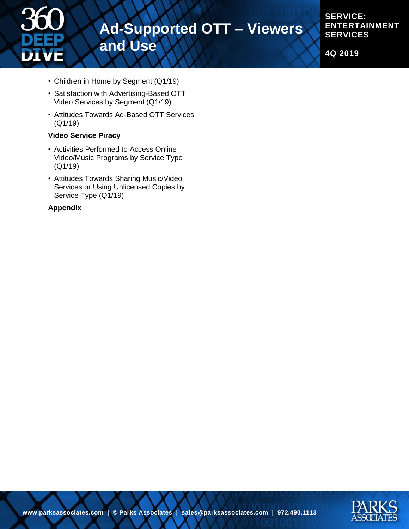

**SERVICE: ENTERTAINMENT SERVICES**

**4Q 2019**

- Children in Home by Segment (Q1/19)
- Satisfaction with Advertising-Based OTT Video Services by Segment (Q1/19)
- Attitudes Towards Ad-Based OTT Services (Q1/19)

#### **Video Service Piracy**

- Activities Performed to Access Online Video/Music Programs by Service Type (Q1/19)
- Attitudes Towards Sharing Music/Video Services or Using Unlicensed Copies by Service Type (Q1/19)

#### **Appendix**